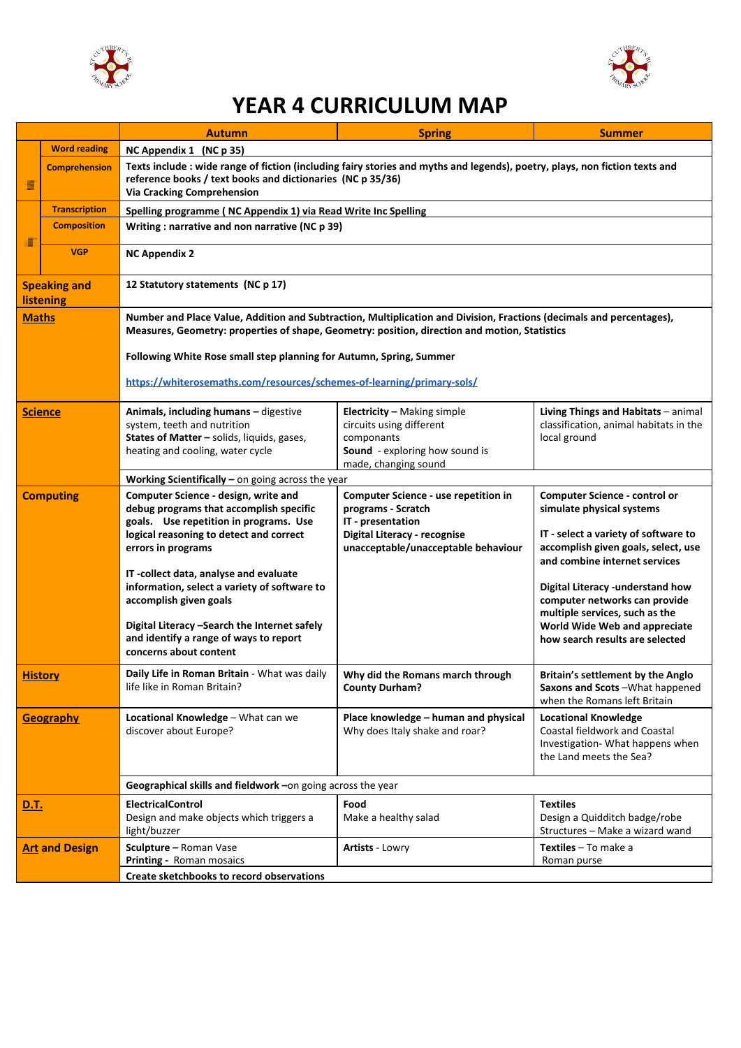



## **YEAR 4 CURRICULUM MAP**

|                                         |                       | <b>Autumn</b>                                                                                                                                                                                                                       | <b>Spring</b>                                                                                                                                                 | <b>Summer</b>                                                                                                                                                                     |  |  |
|-----------------------------------------|-----------------------|-------------------------------------------------------------------------------------------------------------------------------------------------------------------------------------------------------------------------------------|---------------------------------------------------------------------------------------------------------------------------------------------------------------|-----------------------------------------------------------------------------------------------------------------------------------------------------------------------------------|--|--|
|                                         | <b>Word reading</b>   | NC Appendix 1 (NC p 35)                                                                                                                                                                                                             |                                                                                                                                                               |                                                                                                                                                                                   |  |  |
| Е                                       | <b>Comprehension</b>  | Texts include : wide range of fiction (including fairy stories and myths and legends), poetry, plays, non fiction texts and<br>reference books / text books and dictionaries (NC p 35/36)<br><b>Via Cracking Comprehension</b>      |                                                                                                                                                               |                                                                                                                                                                                   |  |  |
|                                         | <b>Transcription</b>  | Spelling programme (NC Appendix 1) via Read Write Inc Spelling                                                                                                                                                                      |                                                                                                                                                               |                                                                                                                                                                                   |  |  |
| н                                       | <b>Composition</b>    | Writing: narrative and non narrative (NC p 39)                                                                                                                                                                                      |                                                                                                                                                               |                                                                                                                                                                                   |  |  |
|                                         | <b>VGP</b>            | <b>NC Appendix 2</b>                                                                                                                                                                                                                |                                                                                                                                                               |                                                                                                                                                                                   |  |  |
| <b>Speaking and</b><br><b>listening</b> |                       | 12 Statutory statements (NC p 17)                                                                                                                                                                                                   |                                                                                                                                                               |                                                                                                                                                                                   |  |  |
| <b>Maths</b>                            |                       | Number and Place Value, Addition and Subtraction, Multiplication and Division, Fractions (decimals and percentages),<br>Measures, Geometry: properties of shape, Geometry: position, direction and motion, Statistics               |                                                                                                                                                               |                                                                                                                                                                                   |  |  |
|                                         |                       | Following White Rose small step planning for Autumn, Spring, Summer                                                                                                                                                                 |                                                                                                                                                               |                                                                                                                                                                                   |  |  |
|                                         |                       | https://whiterosemaths.com/resources/schemes-of-learning/primary-sols/                                                                                                                                                              |                                                                                                                                                               |                                                                                                                                                                                   |  |  |
| <b>Science</b>                          |                       | Animals, including humans - digestive<br>system, teeth and nutrition<br>States of Matter - solids, liquids, gases,<br>heating and cooling, water cycle                                                                              | <b>Electricity - Making simple</b><br>circuits using different<br>componants<br>Sound - exploring how sound is<br>made, changing sound                        | Living Things and Habitats - animal<br>classification, animal habitats in the<br>local ground                                                                                     |  |  |
|                                         |                       | Working Scientifically - on going across the year                                                                                                                                                                                   |                                                                                                                                                               |                                                                                                                                                                                   |  |  |
| <b>Computing</b>                        |                       | Computer Science - design, write and<br>debug programs that accomplish specific<br>goals. Use repetition in programs. Use<br>logical reasoning to detect and correct<br>errors in programs                                          | Computer Science - use repetition in<br>programs - Scratch<br>IT - presentation<br><b>Digital Literacy - recognise</b><br>unacceptable/unacceptable behaviour | <b>Computer Science - control or</b><br>simulate physical systems<br>IT - select a variety of software to<br>accomplish given goals, select, use<br>and combine internet services |  |  |
|                                         |                       | IT-collect data, analyse and evaluate<br>information, select a variety of software to<br>accomplish given goals<br>Digital Literacy -Search the Internet safely<br>and identify a range of ways to report<br>concerns about content |                                                                                                                                                               | Digital Literacy -understand how<br>computer networks can provide<br>multiple services, such as the<br>World Wide Web and appreciate<br>how search results are selected           |  |  |
| <b>History</b>                          |                       | Daily Life in Roman Britain - What was daily<br>life like in Roman Britain?                                                                                                                                                         | Why did the Romans march through<br><b>County Durham?</b>                                                                                                     | Britain's settlement by the Anglo<br>Saxons and Scots-What happened<br>when the Romans left Britain                                                                               |  |  |
| <b>Geography</b>                        |                       | Locational Knowledge - What can we<br>discover about Europe?                                                                                                                                                                        | Place knowledge - human and physical<br>Why does Italy shake and roar?                                                                                        | <b>Locational Knowledge</b><br><b>Coastal fieldwork and Coastal</b><br>Investigation- What happens when<br>the Land meets the Sea?                                                |  |  |
|                                         |                       | Geographical skills and fieldwork - on going across the year                                                                                                                                                                        |                                                                                                                                                               |                                                                                                                                                                                   |  |  |
| <u>D.T.</u>                             |                       | <b>ElectricalControl</b><br>Design and make objects which triggers a<br>light/buzzer                                                                                                                                                | Food<br>Make a healthy salad                                                                                                                                  | <b>Textiles</b><br>Design a Quidditch badge/robe<br>Structures - Make a wizard wand                                                                                               |  |  |
|                                         | <b>Art and Design</b> | Sculpture - Roman Vase<br>Printing - Roman mosaics                                                                                                                                                                                  | <b>Artists - Lowry</b>                                                                                                                                        | Textiles - To make a<br>Roman purse                                                                                                                                               |  |  |
|                                         |                       | Create sketchbooks to record observations                                                                                                                                                                                           |                                                                                                                                                               |                                                                                                                                                                                   |  |  |